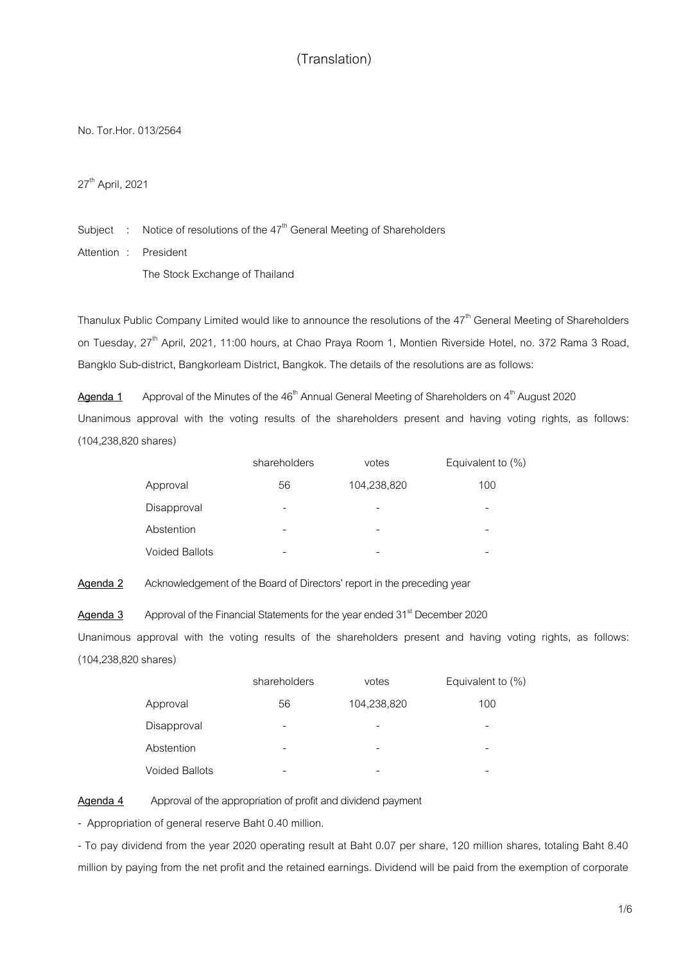No. Tor.Hor.013/2564

27<sup>th</sup> April, 2021

Subject  $\;\; : \;\;$  Notice of resolutions of the  $47^{\text{th}}$  General Meeting of Shareholders

Attention : President

The Stock Exchange of Thailand

Thanulux Public Company Limited would like to announce the resolutions of the 47<sup>th</sup> General Meeting of Shareholders on Tuesday, 27<sup>th</sup> April, 2021, 11:00 hours, at Chao Praya Room 1, Montien Riverside Hotel, no. 372 Rama 3 Road, Bangklo Sub-district, Bangkorleam District, Bangkok. The details of the resolutions are as follows:

Agenda 1 Approval of the Minutes of the 46<sup>th</sup> Annual General Meeting of Shareholders on 4<sup>th</sup> August 2020 Unanimous approval with the voting results of the shareholders present and having voting rights, as follows: (104,238,820shares)

|                       | shareholders | votes       | Equivalent to $(\%)$ |
|-----------------------|--------------|-------------|----------------------|
| Approval              | 56           | 104,238,820 | 100                  |
| Disapproval           | -            |             | -                    |
| Abstention            | -            |             |                      |
| <b>Voided Ballots</b> |              |             |                      |

**Agenda 2** Acknowledgement of the Board of Directors' report in the preceding year

Agenda 3 Approval of the Financial Statements for the year ended 31<sup>st</sup> December 2020 Unanimous approval with the voting results of the shareholders present and having voting rights, as follows: (104,238,820shares)

|                       | shareholders | votes       | Equivalent to $(\%)$ |
|-----------------------|--------------|-------------|----------------------|
| Approval              | 56           | 104,238,820 | 100                  |
| Disapproval           | -            |             |                      |
| Abstention            | -            |             |                      |
| <b>Voided Ballots</b> |              |             |                      |

**Agenda 4** Approval of the appropriation of profit and dividend payment

- Appropriation of general reserve Baht 0.40 million.

- To pay dividend from the year 2020 operating result at Baht 0.07 per share, 120 million shares, totaling Baht 8.40 million by paying from the net profit and the retained earnings. Dividend will be paid from the exemption of corporate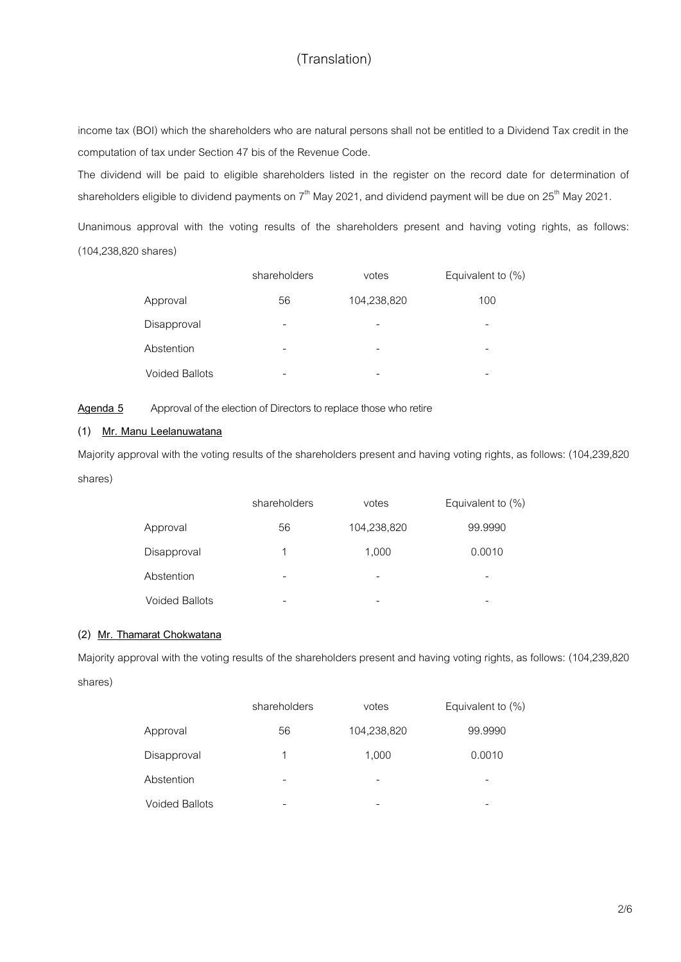income tax (BOI) which the shareholders who are natural persons shall not be entitled to a Dividend Tax credit in the computation of tax under Section 47 bis of the Revenue Code.

The dividend will be paid to eligible shareholders listed in the register on the record date for determination of shareholders eligible to dividend payments on 7<sup>th</sup> May 2021, and dividend payment will be due on 25<sup>th</sup> May 2021.

Unanimous approval with the voting results of the shareholders present and having voting rights, as follows: (104,238,820 shares)

|                       | shareholders | votes       | Equivalent to $(\%)$ |
|-----------------------|--------------|-------------|----------------------|
| Approval              | 56           | 104,238,820 | 100                  |
| Disapproval           |              |             |                      |
| Abstention            |              |             |                      |
| <b>Voided Ballots</b> |              |             |                      |

Agenda 5 Approval of the election of Directors to replace those who retire

### **(1) Mr. Manu Leelanuwatana**

Majority approval with the voting results of the shareholders present and having voting rights, as follows: (104,239,820 shares)

|                       | shareholders | votes       | Equivalent to (%) |
|-----------------------|--------------|-------------|-------------------|
| Approval              | 56           | 104,238,820 | 99.9990           |
| Disapproval           | 1            | 1,000       | 0.0010            |
| Abstention            |              |             | -                 |
| <b>Voided Ballots</b> |              | -           | -                 |

### **(2) Mr. Thamarat Chokwatana**

Majority approval with the voting results of the shareholders present and having voting rights, as follows: (104,239,820 shares)

|                       | shareholders | votes       | Equivalent to $(\%)$ |
|-----------------------|--------------|-------------|----------------------|
| Approval              | 56           | 104,238,820 | 99.9990              |
| Disapproval           |              | 1,000       | 0.0010               |
| Abstention            |              |             |                      |
| <b>Voided Ballots</b> |              |             |                      |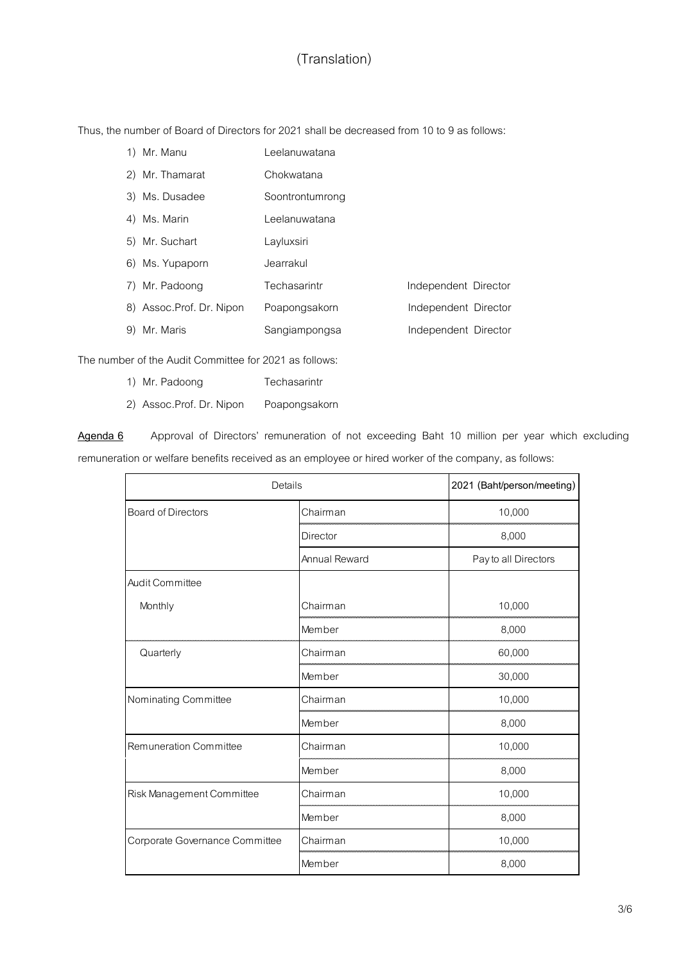Thus, the number of Board of Directors for 2021 shall be decreased from 10 to 9 as follows:

| 1) Mr. Manu              | Leelanuwatana   |                      |  |
|--------------------------|-----------------|----------------------|--|
| 2) Mr. Thamarat          | Chokwatana      |                      |  |
| 3) Ms. Dusadee           | Soontrontumrong |                      |  |
| 4) Ms. Marin             | Leelanuwatana   |                      |  |
| 5) Mr. Suchart           | Layluxsiri      |                      |  |
| 6) Ms. Yupaporn          | Jearrakul       |                      |  |
| 7) Mr. Padoong           | Techasarintr    | Independent Director |  |
| 8) Assoc.Prof. Dr. Nipon | Poapongsakorn   | Independent Director |  |
| 9) Mr. Maris             | Sangiampongsa   | Independent Director |  |

The number of the Audit Committee for 2021 as follows:

- 1) Mr. Padoong Techasarintr
- 2) Assoc.Prof. Dr. Nipon Poapongsakorn

**Agenda 6** Approval of Directors' remuneration of not exceeding Baht 10 million per year which excluding remuneration or welfare benefits received as an employee or hired worker of the company, as follows:

| Details                          |                 | 2021 (Baht/person/meeting) |
|----------------------------------|-----------------|----------------------------|
| <b>Board of Directors</b>        | Chairman        | 10,000                     |
|                                  | <b>Director</b> | 8,000                      |
|                                  | Annual Reward   | Pay to all Directors       |
| Audit Committee                  |                 |                            |
| Monthly                          | Chairman        | 10,000                     |
|                                  | Member          | 8,000                      |
| Quarterly                        | Chairman        | 60,000                     |
|                                  | Member          | 30,000                     |
| Nominating Committee             | Chairman        | 10,000                     |
|                                  | Member          | 8,000                      |
| Remuneration Committee           | Chairman        | 10,000                     |
|                                  | Member          | 8,000                      |
| <b>Risk Management Committee</b> | Chairman        | 10,000                     |
|                                  | Member          | 8,000                      |
| Corporate Governance Committee   | Chairman        | 10,000                     |
|                                  | Member          | 8,000                      |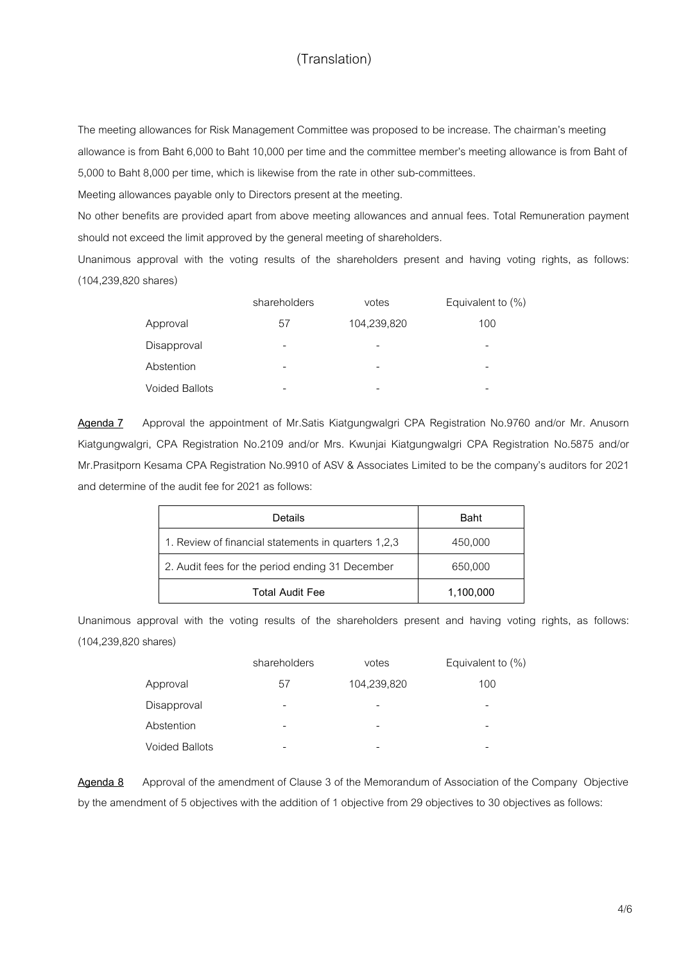The meeting allowances for Risk Management Committee was proposed to be increase. The chairman's meeting allowance is from Baht 6,000 to Baht 10,000 per time and the committee member's meeting allowance is from Baht of 5,000 to Baht 8,000 per time, which is likewise from the rate in other sub-committees.

Meeting allowances payable only to Directors present at the meeting.

No other benefits are provided apart from above meeting allowances and annual fees. Total Remuneration payment should not exceed the limit approved by the general meeting of shareholders.

Unanimous approval with the voting results of the shareholders present and having voting rights, as follows: (104,239,820 shares)

|                       | shareholders | votes       | Equivalent to $(\%)$ |
|-----------------------|--------------|-------------|----------------------|
| Approval              | 57           | 104,239,820 | 100                  |
| Disapproval           | -            |             |                      |
| Abstention            | -            |             |                      |
| <b>Voided Ballots</b> |              |             |                      |

**Agenda 7** Approval the appointment of Mr.Satis Kiatgungwalgri CPA Registration No.9760 and/or Mr. Anusorn Kiatgungwalgri, CPA Registration No.2109 and/or Mrs. Kwunjai Kiatgungwalgri CPA Registration No.5875 and/or Mr.Prasitporn Kesama CPA Registration No.9910 of ASV & Associates Limited to be the company's auditors for 2021 and determine of the audit fee for 2021 as follows:

| Details                                             | <b>Baht</b> |
|-----------------------------------------------------|-------------|
| 1. Review of financial statements in quarters 1,2,3 | 450,000     |
| 2. Audit fees for the period ending 31 December     | 650,000     |
| <b>Total Audit Fee</b>                              | 1,100,000   |

Unanimous approval with the voting results of the shareholders present and having voting rights, as follows: (104,239,820 shares)

|                       | shareholders | votes       | Equivalent to $(\%)$ |
|-----------------------|--------------|-------------|----------------------|
| Approval              | 57           | 104,239,820 | 100                  |
| Disapproval           | -            |             |                      |
| Abstention            | -            |             |                      |
| <b>Voided Ballots</b> |              |             |                      |

**Agenda 8** Approval of the amendment of Clause 3 of the Memorandum of Association of the Company Objective by the amendment of 5 objectives with the addition of 1 objective from 29 objectives to 30 objectives as follows: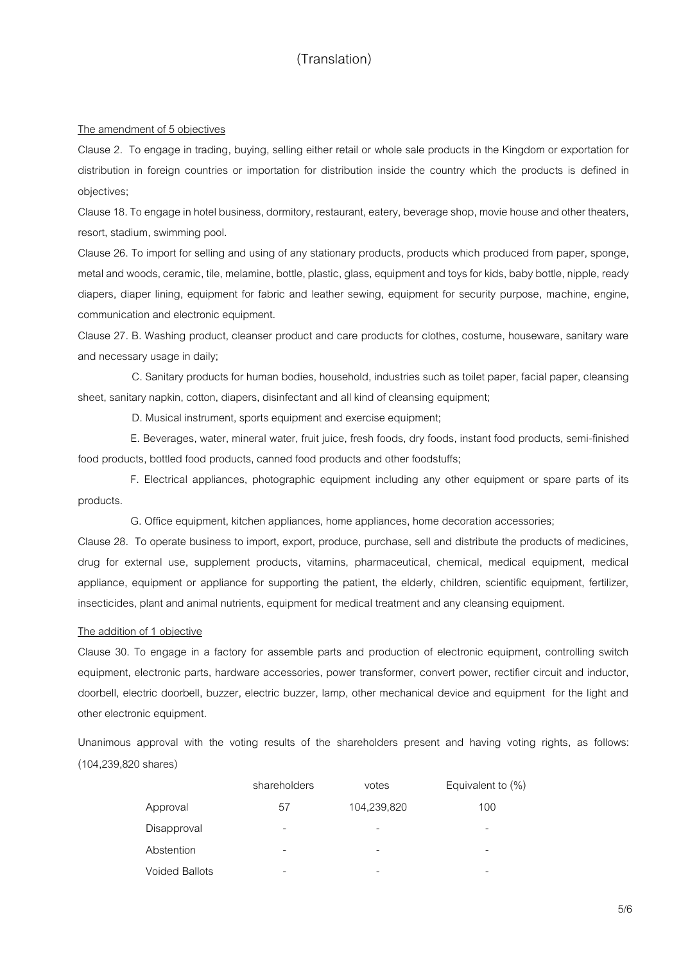#### The amendment of 5 objectives

Clause 2. To engage in trading, buying, selling either retail or whole sale products in the Kingdom or exportation for distribution in foreign countries or importation for distribution inside the country which the products is defined in objectives;

Clause 18. To engage in hotel business, dormitory, restaurant, eatery, beverage shop, movie house and other theaters, resort, stadium, swimming pool.

Clause 26. To import for selling and using of any stationary products, products which produced from paper, sponge, metal and woods, ceramic, tile, melamine, bottle, plastic, glass, equipment and toys for kids, baby bottle, nipple, ready diapers, diaper lining, equipment for fabric and leather sewing, equipment for security purpose, machine, engine, communication and electronic equipment.

Clause 27. B. Washing product, cleanser product and care products for clothes, costume, houseware, sanitary ware and necessary usage in daily;

 C. Sanitary products for human bodies, household, industries such as toilet paper, facial paper, cleansing sheet, sanitary napkin, cotton, diapers, disinfectant and all kind of cleansing equipment;

D. Musical instrument, sports equipment and exercise equipment;

 E. Beverages, water, mineral water, fruit juice, fresh foods, dry foods, instant food products, semi-finished food products, bottled food products, canned food products and other foodstuffs;

 F. Electrical appliances, photographic equipment including any other equipment or spare parts of its products.

G. Office equipment, kitchen appliances, home appliances, home decoration accessories;

Clause 28. To operate business to import, export, produce, purchase, sell and distribute the products of medicines, drug for external use, supplement products, vitamins, pharmaceutical, chemical, medical equipment, medical appliance, equipment or appliance for supporting the patient, the elderly, children, scientific equipment, fertilizer, insecticides, plant and animal nutrients, equipment for medical treatment and any cleansing equipment.

#### The addition of 1 objective

Clause 30. To engage in a factory for assemble parts and production of electronic equipment, controlling switch equipment, electronic parts, hardware accessories, power transformer, convert power, rectifier circuit and inductor, doorbell, electric doorbell, buzzer, electric buzzer, lamp, other mechanical device and equipment for the light and other electronic equipment.

Unanimous approval with the voting results of the shareholders present and having voting rights, as follows: (104,239,820 shares)

|                | shareholders | votes       | Equivalent to $(\%)$ |
|----------------|--------------|-------------|----------------------|
| Approval       | 57           | 104,239,820 | 100                  |
| Disapproval    | -            |             |                      |
| Abstention     |              |             |                      |
| Voided Ballots |              |             |                      |